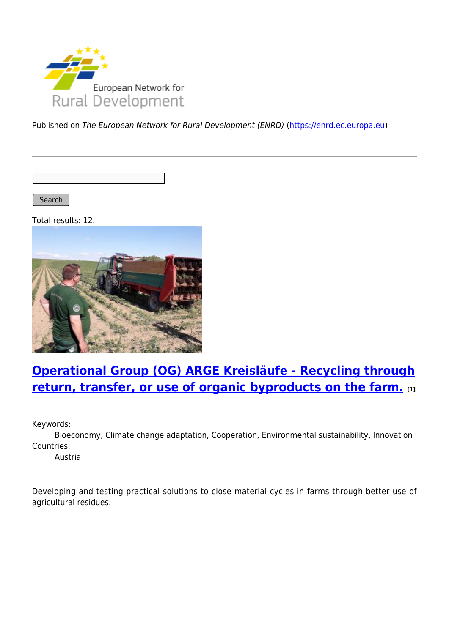

Published on The European Network for Rural Development (ENRD) [\(https://enrd.ec.europa.eu](https://enrd.ec.europa.eu))

Search |

Total results: 12.



# **[Operational Group \(OG\) ARGE Kreisläufe - Recycling through](https://enrd.ec.europa.eu/projects-practice/operational-group-og-arge-kreislaufe-recycling-through-return-transfer-or-use_en) [return, transfer, or use of organic byproducts on the farm.](https://enrd.ec.europa.eu/projects-practice/operational-group-og-arge-kreislaufe-recycling-through-return-transfer-or-use_en) [1]**

Keywords:

Bioeconomy, Climate change adaptation, Cooperation, Environmental sustainability, Innovation Countries:

Austria

Developing and testing practical solutions to close material cycles in farms through better use of agricultural residues.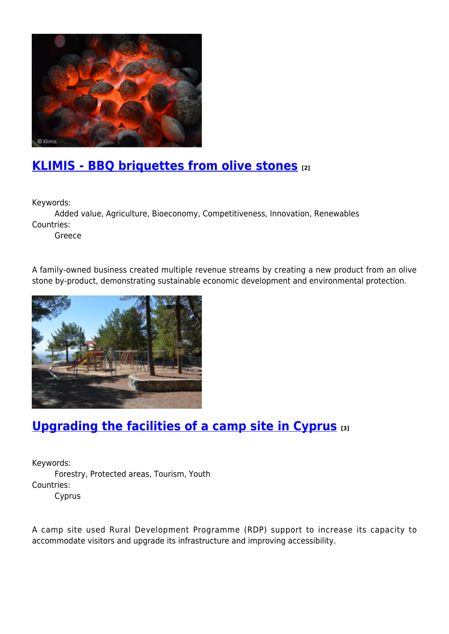

# **[KLIMIS - BBQ briquettes from olive stones](https://enrd.ec.europa.eu/projects-practice/klimis-bbq-briquettes-olive-stones_en) [2]**

Keywords:

Added value, Agriculture, Bioeconomy, Competitiveness, Innovation, Renewables Countries:

Greece

A family-owned business created multiple revenue streams by creating a new product from an olive stone by-product, demonstrating sustainable economic development and environmental protection.



# **[Upgrading the facilities of a camp site in Cyprus](https://enrd.ec.europa.eu/projects-practice/upgrading-facilities-camp-site-cyprus_en) [3]**

Keywords: Forestry, Protected areas, Tourism, Youth Countries: Cyprus

A camp site used Rural Development Programme (RDP) support to increase its capacity to accommodate visitors and upgrade its infrastructure and improving accessibility.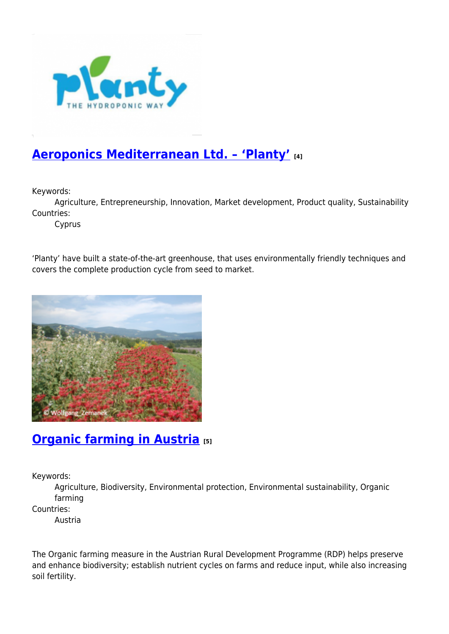

## **[Aeroponics Mediterranean Ltd. – 'Planty'](https://enrd.ec.europa.eu/projects-practice/aeroponics-mediterranean-ltd-planty_en) [4]**

Keywords:

Agriculture, Entrepreneurship, Innovation, Market development, Product quality, Sustainability Countries:

Cyprus

'Planty' have built a state-of-the-art greenhouse, that uses environmentally friendly techniques and covers the complete production cycle from seed to market.



### **[Organic farming in Austria](https://enrd.ec.europa.eu/projects-practice/organic-farming-austria_en) [5]**

Keywords:

Agriculture, Biodiversity, Environmental protection, Environmental sustainability, Organic farming

Countries:

Austria

The Organic farming measure in the Austrian Rural Development Programme (RDP) helps preserve and enhance biodiversity; establish nutrient cycles on farms and reduce input, while also increasing soil fertility.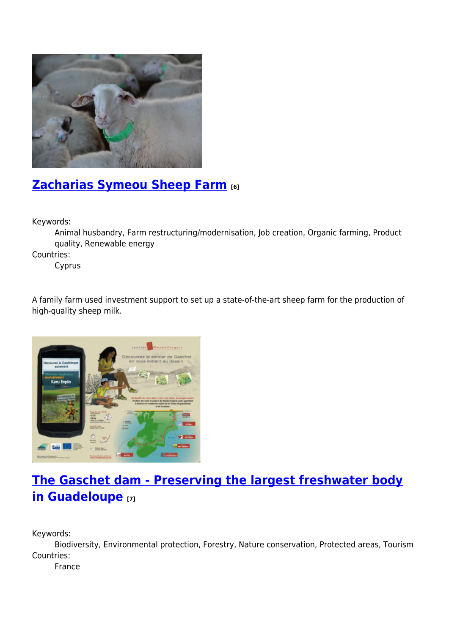

# **[Zacharias Symeou Sheep Farm](https://enrd.ec.europa.eu/projects-practice/zacharias-symeou-sheep-farm_en) [6]**

Keywords:

Animal husbandry, Farm restructuring/modernisation, Job creation, Organic farming, Product quality, Renewable energy

Countries:

Cyprus

A family farm used investment support to set up a state-of-the-art sheep farm for the production of high-quality sheep milk.



# **[The Gaschet dam - Preserving the largest freshwater body](https://enrd.ec.europa.eu/projects-practice/gaschet-dam-preserving-largest-freshwater-body-guadeloupe_en) [in Guadeloupe](https://enrd.ec.europa.eu/projects-practice/gaschet-dam-preserving-largest-freshwater-body-guadeloupe_en) [7]**

Keywords:

Biodiversity, Environmental protection, Forestry, Nature conservation, Protected areas, Tourism Countries:

France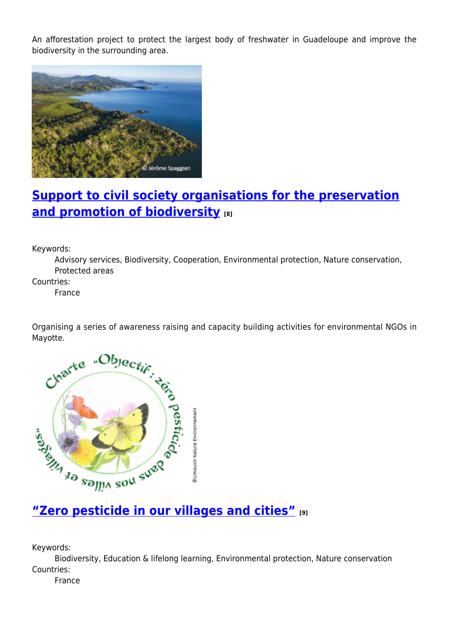An afforestation project to protect the largest body of freshwater in Guadeloupe and improve the biodiversity in the surrounding area.



## **[Support to civil society organisations for the preservation](https://enrd.ec.europa.eu/projects-practice/support-civil-society-organisations-preservation-and-promotion-biodiversity_en) [and promotion of biodiversity](https://enrd.ec.europa.eu/projects-practice/support-civil-society-organisations-preservation-and-promotion-biodiversity_en) [8]**

Keywords:

Advisory services, Biodiversity, Cooperation, Environmental protection, Nature conservation, Protected areas

Countries:

France

Organising a series of awareness raising and capacity building activities for environmental NGOs in



Keywords:

Biodiversity, Education & lifelong learning, Environmental protection, Nature conservation Countries:

France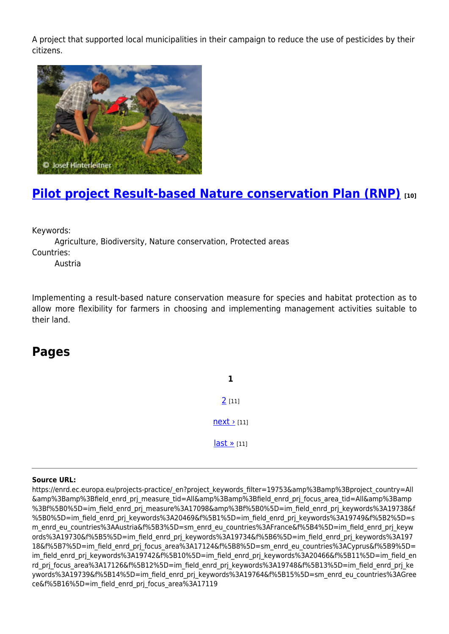A project that supported local municipalities in their campaign to reduce the use of pesticides by their citizens.



# **[Pilot project Result-based Nature conservation Plan \(RNP\)](https://enrd.ec.europa.eu/projects-practice/pilot-project-result-based-nature-conservation-plan-rnp_en) [10]**

Keywords:

Agriculture, Biodiversity, Nature conservation, Protected areas Countries:

Austria

Implementing a result-based nature conservation measure for species and habitat protection as to allow more flexibility for farmers in choosing and implementing management activities suitable to their land.

#### **Pages**

**1** [2](https://enrd.ec.europa.eu/projects-practice/_en?page=1&project_keywords_filter=19753&%3Bamp%3Bproject_country=All&%3Bamp%3Bfield_enrd_prj_measure_tid=All&%3Bamp%3Bfield_enrd_prj_focus_area_tid=All&%3Bamp%3Bf%5B0%5D=im_field_enrd_prj_measure%3A17098&%3Bf%5B0%5D=im_field_enrd_prj_keywords%3A19738&f%5B0%5D=im_field_enrd_prj_keywords%3A20469&f%5B1%5D=im_field_enrd_prj_keywords%3A19749&f%5B2%5D=sm_enrd_eu_countries%3AAustria&f%5B3%5D=sm_enrd_eu_countries%3AFrance&f%5B4%5D=im_field_enrd_prj_keywords%3A19730&f%5B5%5D=im_field_enrd_prj_keywords%3A19734&f%5B6%5D=im_field_enrd_prj_keywords%3A19718&f%5B7%5D=im_field_enrd_prj_focus_area%3A17124&f%5B8%5D=sm_enrd_eu_countries%3ACyprus&f%5B9%5D=im_field_enrd_prj_keywords%3A19742&f%5B10%5D=im_field_enrd_prj_keywords%3A20466&f%5B11%5D=im_field_enrd_prj_focus_area%3A17126&f%5B12%5D=im_field_enrd_prj_keywords%3A19748&f%5B13%5D=im_field_enrd_prj_keywords%3A19739&f%5B14%5D=im_field_enrd_prj_keywords%3A19764&f%5B15%5D=sm_enrd_eu_countries%3AGreece&f%5B16%5D=im_field_enrd_prj_focus_area%3A17119) [11]  $next$  [11] [last »](https://enrd.ec.europa.eu/projects-practice/_en?page=1&project_keywords_filter=19753&%3Bamp%3Bproject_country=All&%3Bamp%3Bfield_enrd_prj_measure_tid=All&%3Bamp%3Bfield_enrd_prj_focus_area_tid=All&%3Bamp%3Bf%5B0%5D=im_field_enrd_prj_measure%3A17098&%3Bf%5B0%5D=im_field_enrd_prj_keywords%3A19738&f%5B0%5D=im_field_enrd_prj_keywords%3A20469&f%5B1%5D=im_field_enrd_prj_keywords%3A19749&f%5B2%5D=sm_enrd_eu_countries%3AAustria&f%5B3%5D=sm_enrd_eu_countries%3AFrance&f%5B4%5D=im_field_enrd_prj_keywords%3A19730&f%5B5%5D=im_field_enrd_prj_keywords%3A19734&f%5B6%5D=im_field_enrd_prj_keywords%3A19718&f%5B7%5D=im_field_enrd_prj_focus_area%3A17124&f%5B8%5D=sm_enrd_eu_countries%3ACyprus&f%5B9%5D=im_field_enrd_prj_keywords%3A19742&f%5B10%5D=im_field_enrd_prj_keywords%3A20466&f%5B11%5D=im_field_enrd_prj_focus_area%3A17126&f%5B12%5D=im_field_enrd_prj_keywords%3A19748&f%5B13%5D=im_field_enrd_prj_keywords%3A19739&f%5B14%5D=im_field_enrd_prj_keywords%3A19764&f%5B15%5D=sm_enrd_eu_countries%3AGreece&f%5B16%5D=im_field_enrd_prj_focus_area%3A17119) [11]

#### **Source URL:**

https://enrd.ec.europa.eu/projects-practice/\_en?project\_keywords\_filter=19753&amp%3Bamp%3Bproject\_country=All &amp%3Bamp%3Bfield\_enrd\_prj\_measure\_tid=All&amp%3Bamp%3Bfield\_enrd\_prj\_focus\_area\_tid=All&amp%3Bamp %3Bf%5B0%5D=im\_field\_enrd\_prj\_measure%3A17098&amp%3Bf%5B0%5D=im\_field\_enrd\_prj\_keywords%3A19738&f %5B0%5D=im\_field\_enrd\_prj\_keywords%3A20469&f%5B1%5D=im\_field\_enrd\_prj\_keywords%3A19749&f%5B2%5D=s m\_enrd\_eu\_countries%3AAustria&f%5B3%5D=sm\_enrd\_eu\_countries%3AFrance&f%5B4%5D=im\_field\_enrd\_prj\_keyw ords%3A19730&f%5B5%5D=im\_field\_enrd\_prj\_keywords%3A19734&f%5B6%5D=im\_field\_enrd\_prj\_keywords%3A197 18&f%5B7%5D=im\_field\_enrd\_prj\_focus\_area%3A17124&f%5B8%5D=sm\_enrd\_eu\_countries%3ACyprus&f%5B9%5D= im field enrd prj keywords%3A19742&f%5B10%5D=im field enrd prj keywords%3A20466&f%5B11%5D=im field en rd\_prj\_focus\_area%3A17126&f%5B12%5D=im\_field\_enrd\_prj\_keywords%3A19748&f%5B13%5D=im\_field\_enrd\_prj\_ke ywords%3A19739&f%5B14%5D=im\_field\_enrd\_prj\_keywords%3A19764&f%5B15%5D=sm\_enrd\_eu\_countries%3AGree ce&f%5B16%5D=im\_field\_enrd\_prj\_focus\_area%3A17119